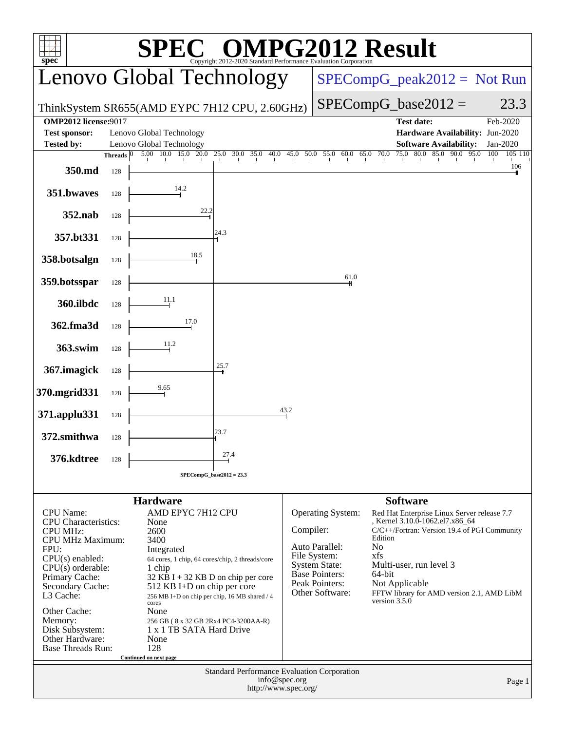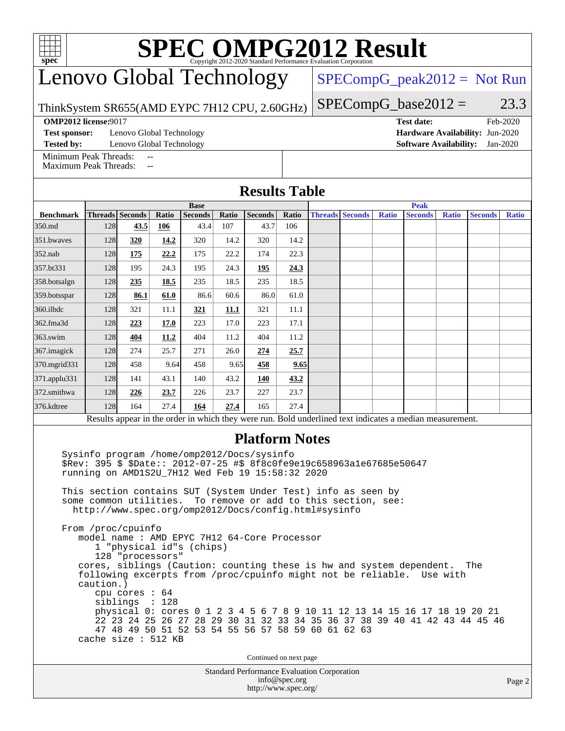# **[SPEC OMPG2012 Result](http://www.spec.org/auto/omp2012/Docs/result-fields.html#SPECOMPG2012Result)**

## Lenovo Global Technology

 $SPECompG_peak2012 = Not Run$  $SPECompG_peak2012 = Not Run$ 

ThinkSystem SR655(AMD EYPC 7H12 CPU, 2.60GHz)

**[Test sponsor:](http://www.spec.org/auto/omp2012/Docs/result-fields.html#Testsponsor)** Lenovo Global Technology **[Hardware Availability:](http://www.spec.org/auto/omp2012/Docs/result-fields.html#HardwareAvailability)** Jun-2020

 $SPECompG_base2012 = 23.3$  $SPECompG_base2012 = 23.3$ **[OMP2012 license:](http://www.spec.org/auto/omp2012/Docs/result-fields.html#OMP2012license)**9017 **[Test date:](http://www.spec.org/auto/omp2012/Docs/result-fields.html#Testdate)** Feb-2020

**[Tested by:](http://www.spec.org/auto/omp2012/Docs/result-fields.html#Testedby)** Lenovo Global Technology **[Software Availability:](http://www.spec.org/auto/omp2012/Docs/result-fields.html#SoftwareAvailability)** Jan-2020

[Minimum Peak Threads:](http://www.spec.org/auto/omp2012/Docs/result-fields.html#MinimumPeakThreads) [Maximum Peak Threads:](http://www.spec.org/auto/omp2012/Docs/result-fields.html#MaximumPeakThreads)

|                         | <b>Results Table</b><br><b>Base</b> |                 |       |                |       |                |       | <b>Peak</b> |                        |              |                |              |                |              |
|-------------------------|-------------------------------------|-----------------|-------|----------------|-------|----------------|-------|-------------|------------------------|--------------|----------------|--------------|----------------|--------------|
| <b>Benchmark</b>        |                                     | Threads Seconds | Ratio | <b>Seconds</b> | Ratio | <b>Seconds</b> | Ratio |             | <b>Threads Seconds</b> | <b>Ratio</b> | <b>Seconds</b> | <b>Ratio</b> | <b>Seconds</b> | <b>Ratio</b> |
| 350.md                  | 128                                 | 43.5            | 106   | 43.4           | 107   | 43.7           | 106   |             |                        |              |                |              |                |              |
| 351.bwaves              | 128                                 | 320             | 14.2  | 320            | 14.2  | 320            | 14.2  |             |                        |              |                |              |                |              |
| $352$ .nab              | 128                                 | 175             | 22.2  | 175            | 22.2  | 174            | 22.3  |             |                        |              |                |              |                |              |
| 357.bt331               | 128                                 | 195             | 24.3  | 195            | 24.3  | 195            | 24.3  |             |                        |              |                |              |                |              |
| 358.botsalgn            | 128                                 | 235             | 18.5  | 235            | 18.5  | 235            | 18.5  |             |                        |              |                |              |                |              |
| $359.$ botsspar         | 128                                 | 86.1            | 61.0  | 86.6           | 60.6  | 86.0           | 61.0  |             |                        |              |                |              |                |              |
| $360$ .ilbdc            | 128                                 | 321             | 11.1  | 321            | 11.1  | 321            | 11.1  |             |                        |              |                |              |                |              |
| 362.fma3d               | 128                                 | 223             | 17.0  | 223            | 17.0  | 223            | 17.1  |             |                        |              |                |              |                |              |
| $363$ .swim             | 128                                 | 404             | 11.2  | 404            | 11.2  | 404            | 11.2  |             |                        |              |                |              |                |              |
| 367.imagick             | 128                                 | 274             | 25.7  | 271            | 26.0  | 274            | 25.7  |             |                        |              |                |              |                |              |
| 370.mgrid331            | 128                                 | 458             | 9.64  | 458            | 9.65  | 458            | 9.65  |             |                        |              |                |              |                |              |
| $ 371 \text{.applu}331$ | 128                                 | 141             | 43.1  | 140            | 43.2  | 140            | 43.2  |             |                        |              |                |              |                |              |
| 372.smithwa             | 128                                 | 226             | 23.7  | 226            | 23.7  | 227            | 23.7  |             |                        |              |                |              |                |              |
| 376.kdtree              | 128                                 | 164             | 27.4  | 164            | 27.4  | 165            | 27.4  |             |                        |              |                |              |                |              |

### **[Platform Notes](http://www.spec.org/auto/omp2012/Docs/result-fields.html#PlatformNotes)**

 Sysinfo program /home/omp2012/Docs/sysinfo \$Rev: 395 \$ \$Date:: 2012-07-25 #\$ 8f8c0fe9e19c658963a1e67685e50647 running on AMD1S2U\_7H12 Wed Feb 19 15:58:32 2020

 This section contains SUT (System Under Test) info as seen by some common utilities. To remove or add to this section, see: <http://www.spec.org/omp2012/Docs/config.html#sysinfo>

 From /proc/cpuinfo model name : AMD EPYC 7H12 64-Core Processor 1 "physical id"s (chips) 128 "processors" cores, siblings (Caution: counting these is hw and system dependent. The following excerpts from /proc/cpuinfo might not be reliable. Use with caution.) cpu cores : 64 siblings : 128 physical 0: cores 0 1 2 3 4 5 6 7 8 9 10 11 12 13 14 15 16 17 18 19 20 21 22 23 24 25 26 27 28 29 30 31 32 33 34 35 36 37 38 39 40 41 42 43 44 45 46 47 48 49 50 51 52 53 54 55 56 57 58 59 60 61 62 63 cache size : 512 KB

Continued on next page

Standard Performance Evaluation Corporation [info@spec.org](mailto:info@spec.org) <http://www.spec.org/>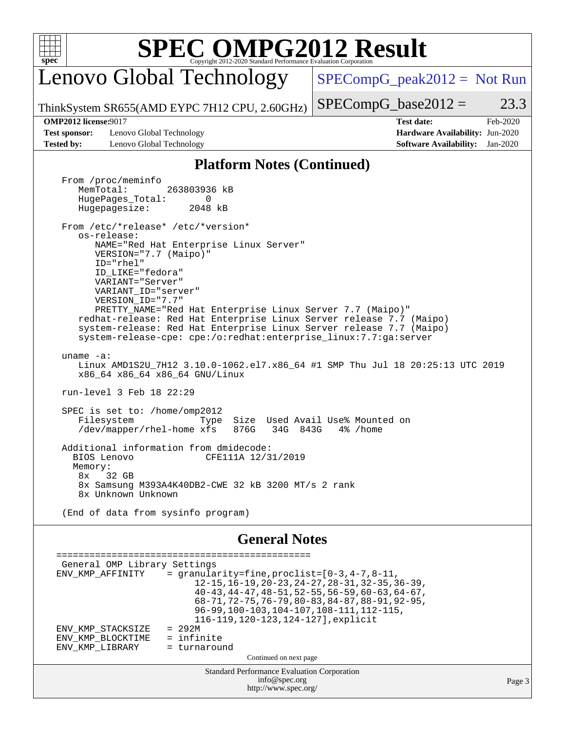

# **[SPEC OMPG2012 Result](http://www.spec.org/auto/omp2012/Docs/result-fields.html#SPECOMPG2012Result)**

Lenovo Global Technology

 $SPECompG_peak2012 = Not Run$  $SPECompG_peak2012 = Not Run$ 

ThinkSystem SR655(AMD EYPC 7H12 CPU, 2.60GHz)  $SPECompG_base2012 = 23.3$  $SPECompG_base2012 = 23.3$ 

**[Test sponsor:](http://www.spec.org/auto/omp2012/Docs/result-fields.html#Testsponsor)** Lenovo Global Technology **[Hardware Availability:](http://www.spec.org/auto/omp2012/Docs/result-fields.html#HardwareAvailability)** Jun-2020 **[Tested by:](http://www.spec.org/auto/omp2012/Docs/result-fields.html#Testedby)** Lenovo Global Technology **[Software Availability:](http://www.spec.org/auto/omp2012/Docs/result-fields.html#SoftwareAvailability)** Jan-2020

**[OMP2012 license:](http://www.spec.org/auto/omp2012/Docs/result-fields.html#OMP2012license)**9017 **[Test date:](http://www.spec.org/auto/omp2012/Docs/result-fields.html#Testdate)** Feb-2020

### **[Platform Notes \(Continued\)](http://www.spec.org/auto/omp2012/Docs/result-fields.html#PlatformNotes)**

From /proc/meminfo<br>MemTotal: 263803936 kB HugePages\_Total: 0<br>Hugepagesize: 2048 kB Hugepagesize: From /etc/\*release\* /etc/\*version\* os-release: NAME="Red Hat Enterprise Linux Server" VERSION="7.7 (Maipo)" ID="rhel" ID\_LIKE="fedora" VARIANT="Server" VARIANT\_ID="server" VERSION\_ID="7.7" PRETTY\_NAME="Red Hat Enterprise Linux Server 7.7 (Maipo)" redhat-release: Red Hat Enterprise Linux Server release 7.7 (Maipo) system-release: Red Hat Enterprise Linux Server release 7.7 (Maipo) system-release-cpe: cpe:/o:redhat:enterprise\_linux:7.7:ga:server uname -a: Linux AMD1S2U\_7H12 3.10.0-1062.el7.x86\_64 #1 SMP Thu Jul 18 20:25:13 UTC 2019 x86\_64 x86\_64 x86\_64 GNU/Linux run-level 3 Feb 18 22:29 SPEC is set to: /home/omp2012 Filesystem Type Size Used Avail Use% Mounted on /dev/mapper/rhel-home xfs 876G 34G 843G 4% /home Additional information from dmidecode: BIOS Lenovo CFE111A 12/31/2019 Memory: 8x 32 GB 8x Samsung M393A4K40DB2-CWE 32 kB 3200 MT/s 2 rank 8x Unknown Unknown (End of data from sysinfo program) **[General Notes](http://www.spec.org/auto/omp2012/Docs/result-fields.html#GeneralNotes)** ============================================== General OMP Library Settings

Standard Performance Evaluation Corporation [info@spec.org](mailto:info@spec.org) <http://www.spec.org/> Page 3 ENV\_KMP\_AFFINITY = granularity=fine,  $proclist=[0-3, 4-7, 8-11,$  12-15,16-19,20-23,24-27,28-31,32-35,36-39, 40-43,44-47,48-51,52-55,56-59,60-63,64-67, 68-71,72-75,76-79,80-83,84-87,88-91,92-95, 96-99,100-103,104-107,108-111,112-115, 116-119,120-123,124-127],explicit ENV\_KMP\_STACKSIZE = 292M<br>ENV KMP BLOCKTIME = infinite ENV\_KMP\_BLOCKTIME = infinite<br>ENV\_KMP\_LIBRARY = turnaround ENV\_KMP\_LIBRARY Continued on next page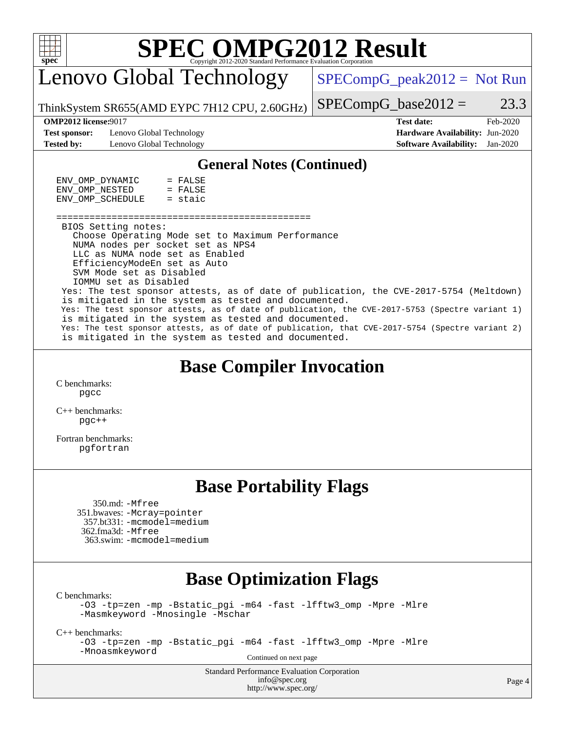